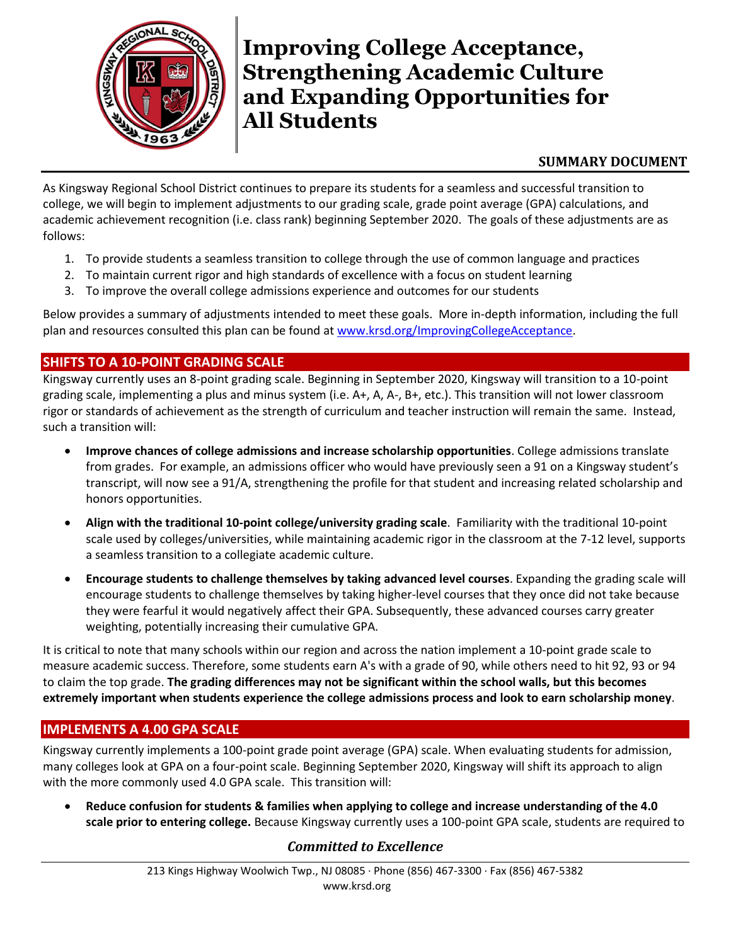

# **Improving College Acceptance, Strengthening Academic Culture and Expanding Opportunities for All Students**

### **SUMMARY DOCUMENT**

As Kingsway Regional School District continues to prepare its students for a seamless and successful transition to college, we will begin to implement adjustments to our grading scale, grade point average (GPA) calculations, and academic achievement recognition (i.e. class rank) beginning September 2020. The goals of these adjustments are as follows:

- 1. To provide students a seamless transition to college through the use of common language and practices
- 2. To maintain current rigor and high standards of excellence with a focus on student learning
- 3. To improve the overall college admissions experience and outcomes for our students

Below provides a summary of adjustments intended to meet these goals. More in-depth information, including the full plan and resources consulted this plan can be found at [www.krsd.org/ImprovingCollegeAcceptance.](http://www.krsd.org/ImprovingCollegeAcceptance)

### **SHIFTS TO A 10-POINT GRADING SCALE**

Kingsway currently uses an 8-point grading scale. Beginning in September 2020, Kingsway will transition to a 10-point grading scale, implementing a plus and minus system (i.e. A+, A, A-, B+, etc.). This transition will not lower classroom rigor or standards of achievement as the strength of curriculum and teacher instruction will remain the same. Instead, such a transition will:

- **Improve chances of college admissions and increase scholarship opportunities**. College admissions translate from grades. For example, an admissions officer who would have previously seen a 91 on a Kingsway student's transcript, will now see a 91/A, strengthening the profile for that student and increasing related scholarship and honors opportunities.
- **Align with the traditional 10-point college/university grading scale**. Familiarity with the traditional 10-point scale used by colleges/universities, while maintaining academic rigor in the classroom at the 7-12 level, supports a seamless transition to a collegiate academic culture.
- **Encourage students to challenge themselves by taking advanced level courses**. Expanding the grading scale will encourage students to challenge themselves by taking higher-level courses that they once did not take because they were fearful it would negatively affect their GPA. Subsequently, these advanced courses carry greater weighting, potentially increasing their cumulative GPA.

It is critical to note that many schools within our region and across the nation implement a 10-point grade scale to measure academic success. Therefore, some students earn A's with a grade of 90, while others need to hit 92, 93 or 94 to claim the top grade. **The grading differences may not be significant within the school walls, but this becomes extremely important when students experience the college admissions process and look to earn scholarship money**.

#### **IMPLEMENTS A 4.00 GPA SCALE**

Kingsway currently implements a 100-point grade point average (GPA) scale. When evaluating students for admission, many colleges look at GPA on a four-point scale. Beginning September 2020, Kingsway will shift its approach to align with the more commonly used 4.0 GPA scale. This transition will:

 **Reduce confusion for students & families when applying to college and increase understanding of the 4.0 scale prior to entering college.** Because Kingsway currently uses a 100-point GPA scale, students are required to

# *Committed to Excellence*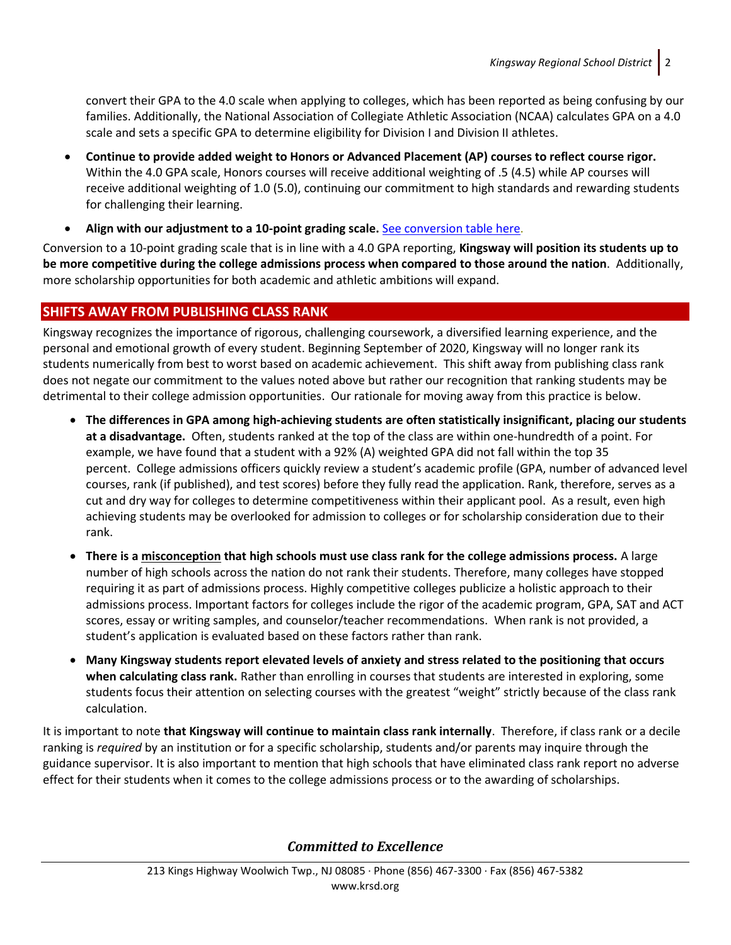convert their GPA to the 4.0 scale when applying to colleges, which has been reported as being confusing by our families. Additionally, the National Association of Collegiate Athletic Association (NCAA) calculates GPA on a 4.0 scale and sets a specific GPA to determine eligibility for Division I and Division II athletes.

- **Continue to provide added weight to Honors or Advanced Placement (AP) courses to reflect course rigor.**  Within the 4.0 GPA scale, Honors courses will receive additional weighting of .5 (4.5) while AP courses will receive additional weighting of 1.0 (5.0), continuing our commitment to high standards and rewarding students for challenging their learning.
- **Align with our adjustment to a 10-point grading scale.** [See conversion](https://www.krsd.org/Page/1646) table here.

Conversion to a 10-point grading scale that is in line with a 4.0 GPA reporting, **Kingsway will position its students up to be more competitive during the college admissions process when compared to those around the nation**. Additionally, more scholarship opportunities for both academic and athletic ambitions will expand.

### **SHIFTS AWAY FROM PUBLISHING CLASS RANK**

Kingsway recognizes the importance of rigorous, challenging coursework, a diversified learning experience, and the personal and emotional growth of every student. Beginning September of 2020, Kingsway will no longer rank its students numerically from best to worst based on academic achievement. This shift away from publishing class rank does not negate our commitment to the values noted above but rather our recognition that ranking students may be detrimental to their college admission opportunities. Our rationale for moving away from this practice is below.

- **The differences in GPA among high-achieving students are often statistically insignificant, placing our students at a disadvantage.** Often, students ranked at the top of the class are within one-hundredth of a point. For example, we have found that a student with a 92% (A) weighted GPA did not fall within the top 35 percent. College admissions officers quickly review a student's academic profile (GPA, number of advanced level courses, rank (if published), and test scores) before they fully read the application. Rank, therefore, serves as a cut and dry way for colleges to determine competitiveness within their applicant pool. As a result, even high achieving students may be overlooked for admission to colleges or for scholarship consideration due to their rank.
- **There is a misconception that high schools must use class rank for the college admissions process.** A large number of high schools across the nation do not rank their students. Therefore, many colleges have stopped requiring it as part of admissions process. Highly competitive colleges publicize a holistic approach to their admissions process. Important factors for colleges include the rigor of the academic program, GPA, SAT and ACT scores, essay or writing samples, and counselor/teacher recommendations. When rank is not provided, a student's application is evaluated based on these factors rather than rank.
- **Many Kingsway students report elevated levels of anxiety and stress related to the positioning that occurs when calculating class rank.** Rather than enrolling in courses that students are interested in exploring, some students focus their attention on selecting courses with the greatest "weight" strictly because of the class rank calculation.

It is important to note **that Kingsway will continue to maintain class rank internally**. Therefore, if class rank or a decile ranking is *required* by an institution or for a specific scholarship, students and/or parents may inquire through the guidance supervisor. It is also important to mention that high schools that have eliminated class rank report no adverse effect for their students when it comes to the college admissions process or to the awarding of scholarships.

*Committed to Excellence*